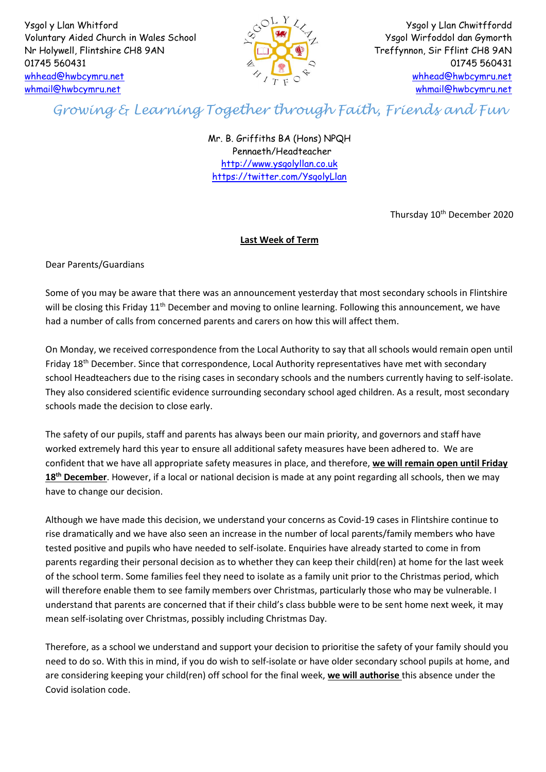Ysgol y Llan Whitford Voluntary Aided Church in Wales School Nr Holywell, Flintshire CH8 9AN 01745 560431 [whhead@hwbcymru.net](mailto:whhead@hwbcymru.net) [whmail@hwbcymru.net](mailto:whmail@hwbcymru.net)



Ysgol y Llan Chwitffordd Ysgol Wirfoddol dan Gymorth Treffynnon, Sir Fflint CH8 9AN 01745 560431 [whhead@hwbcymru.net](mailto:whhead@hwbcymru.net) [whmail@hwbcymru.net](mailto:whmail@hwbcymru.net)

## *Growing & Learning Together through Faith, Friends and Fun*

Mr. B. Griffiths BA (Hons) NPQH Pennaeth/Headteacher [http://www.ysgolyllan.co.uk](http://www.ysgolyllan.co.uk/) <https://twitter.com/YsgolyLlan>

Thursday 10<sup>th</sup> December 2020

## **Last Week of Term**

Dear Parents/Guardians

Some of you may be aware that there was an announcement yesterday that most secondary schools in Flintshire will be closing this Friday 11<sup>th</sup> December and moving to online learning. Following this announcement, we have had a number of calls from concerned parents and carers on how this will affect them.

On Monday, we received correspondence from the Local Authority to say that all schools would remain open until Friday 18<sup>th</sup> December. Since that correspondence, Local Authority representatives have met with secondary school Headteachers due to the rising cases in secondary schools and the numbers currently having to self-isolate. They also considered scientific evidence surrounding secondary school aged children. As a result, most secondary schools made the decision to close early.

The safety of our pupils, staff and parents has always been our main priority, and governors and staff have worked extremely hard this year to ensure all additional safety measures have been adhered to. We are confident that we have all appropriate safety measures in place, and therefore, **we will remain open until Friday 18th December**. However, if a local or national decision is made at any point regarding all schools, then we may have to change our decision.

Although we have made this decision, we understand your concerns as Covid-19 cases in Flintshire continue to rise dramatically and we have also seen an increase in the number of local parents/family members who have tested positive and pupils who have needed to self-isolate. Enquiries have already started to come in from parents regarding their personal decision as to whether they can keep their child(ren) at home for the last week of the school term. Some families feel they need to isolate as a family unit prior to the Christmas period, which will therefore enable them to see family members over Christmas, particularly those who may be vulnerable. I understand that parents are concerned that if their child's class bubble were to be sent home next week, it may mean self-isolating over Christmas, possibly including Christmas Day.

Therefore, as a school we understand and support your decision to prioritise the safety of your family should you need to do so. With this in mind, if you do wish to self-isolate or have older secondary school pupils at home, and are considering keeping your child(ren) off school for the final week, **we will authorise** this absence under the Covid isolation code.